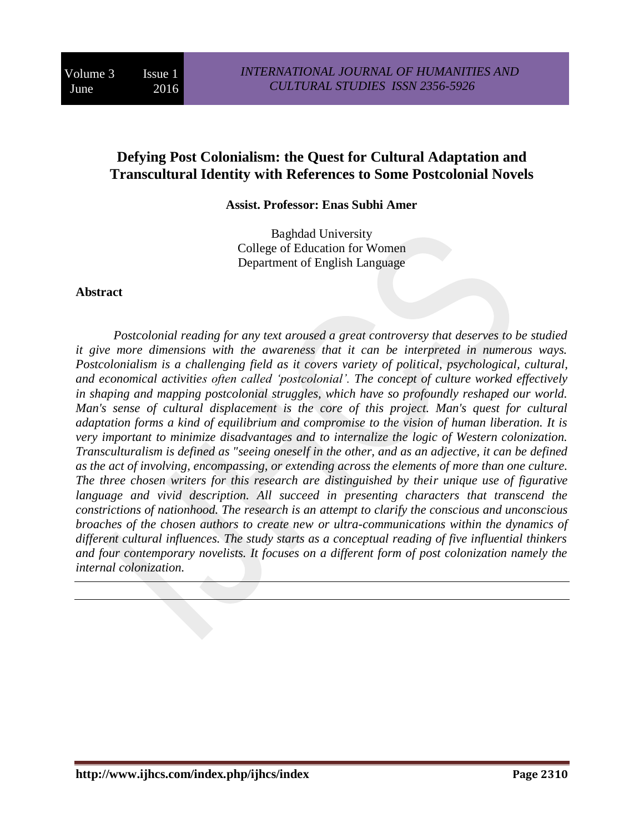# **Defying Post Colonialism: the Quest for Cultural Adaptation and Transcultural Identity with References to Some Postcolonial Novels**

**Assist. Professor: Enas Subhi Amer**

Baghdad University College of Education for Women Department of English Language

### **Abstract**

*Postcolonial reading for any text aroused a great controversy that deserves to be studied it give more dimensions with the awareness that it can be interpreted in numerous ways. Postcolonialism is a challenging field as it covers variety of political, psychological, cultural, and economical activities often called 'postcolonial'. The concept of culture worked effectively in shaping and mapping postcolonial struggles, which have so profoundly reshaped our world. Man's sense of cultural displacement is the core of this project. Man's quest for cultural adaptation forms a kind of equilibrium and compromise to the vision of human liberation. It is very important to minimize disadvantages and to internalize the logic of Western colonization. Transculturalism is defined as "seeing oneself in the other, and as an adjective, it can be defined as the act of involving, encompassing, or extending across the elements of more than one culture. The three chosen writers for this research are distinguished by their unique use of figurative*  language and vivid description. All succeed in presenting characters that transcend the *constrictions of nationhood. The research is an attempt to clarify the conscious and unconscious broaches of the chosen authors to create new or ultra-communications within the dynamics of different cultural influences. The study starts as a conceptual reading of five influential thinkers and four contemporary novelists. It focuses on a different form of post colonization namely the internal colonization.*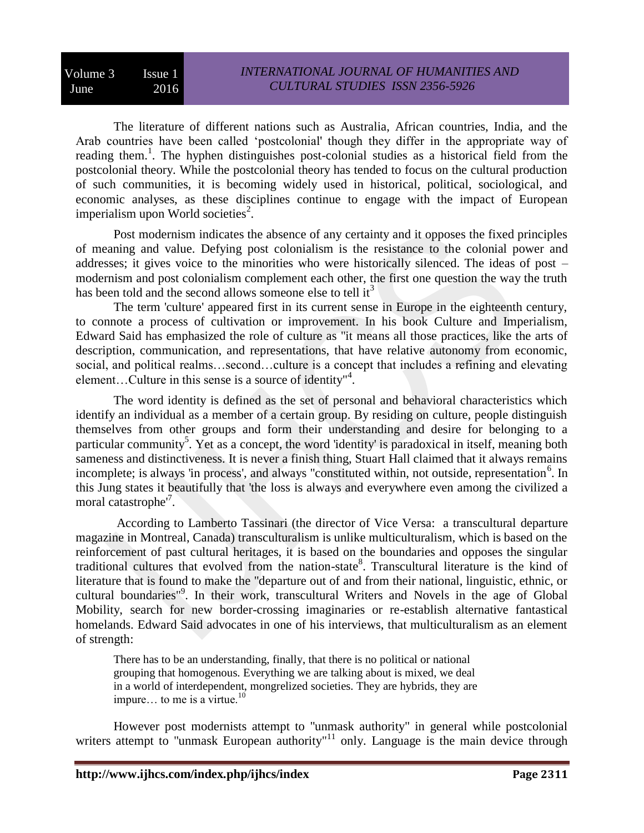The literature of different nations such as Australia, African countries, India, and the Arab countries have been called 'postcolonial' though they differ in the appropriate way of reading them.<sup>1</sup>. The hyphen distinguishes post-colonial studies as a historical field from the postcolonial theory. While the postcolonial theory has tended to focus on the cultural production of such communities, it is becoming widely used in historical, political, sociological, and economic analyses, as these disciplines continue to engage with the impact of European imperialism upon World societies<sup>2</sup>.

Post modernism indicates the absence of any certainty and it opposes the fixed principles of meaning and value. Defying post colonialism is the resistance to the colonial power and addresses; it gives voice to the minorities who were historically silenced. The ideas of post – modernism and post colonialism complement each other, the first one question the way the truth has been told and the second allows someone else to tell  $it<sup>3</sup>$ 

The term 'culture' appeared first in its current sense in Europe in the eighteenth century, to connote a process of cultivation or improvement. In his book Culture and Imperialism, Edward Said has emphasized the role of culture as "it means all those practices, like the arts of description, communication, and representations, that have relative autonomy from economic, social, and political realms…second…culture is a concept that includes a refining and elevating element...Culture in this sense is a source of identity"<sup>4</sup>.

The word identity is defined as the set of personal and behavioral characteristics which identify an individual as a member of a certain group. By residing on culture, people distinguish themselves from other groups and form their understanding and desire for belonging to a particular community<sup>5</sup>. Yet as a concept, the word 'identity' is paradoxical in itself, meaning both sameness and distinctiveness. It is never a finish thing, Stuart Hall claimed that it always remains incomplete; is always 'in process', and always "constituted within, not outside, representation<sup>6</sup>. In this Jung states it beautifully that 'the loss is always and everywhere even among the civilized a moral catastrophe<sup>7</sup>.

According to Lamberto Tassinari (the director of Vice Versa: a transcultural departure magazine in Montreal, Canada) transculturalism is unlike multiculturalism, which is based on the reinforcement of past cultural heritages, it is based on the boundaries and opposes the singular traditional cultures that evolved from the nation-state<sup>8</sup>. Transcultural literature is the kind of literature that is found to make the "departure out of and from their national, linguistic, ethnic, or cultural boundaries"<sup>9</sup>. In their work, transcultural Writers and Novels in the age of Global Mobility, search for new border-crossing imaginaries or re-establish alternative fantastical homelands. Edward Said advocates in one of his interviews, that multiculturalism as an element of strength:

There has to be an understanding, finally, that there is no political or national grouping that homogenous. Everything we are talking about is mixed, we deal in a world of interdependent, mongrelized societies. They are hybrids, they are impure... to me is a virtue.<sup>10</sup>

However post modernists attempt to "unmask authority" in general while postcolonial writers attempt to "unmask European authority"<sup>11</sup> only. Language is the main device through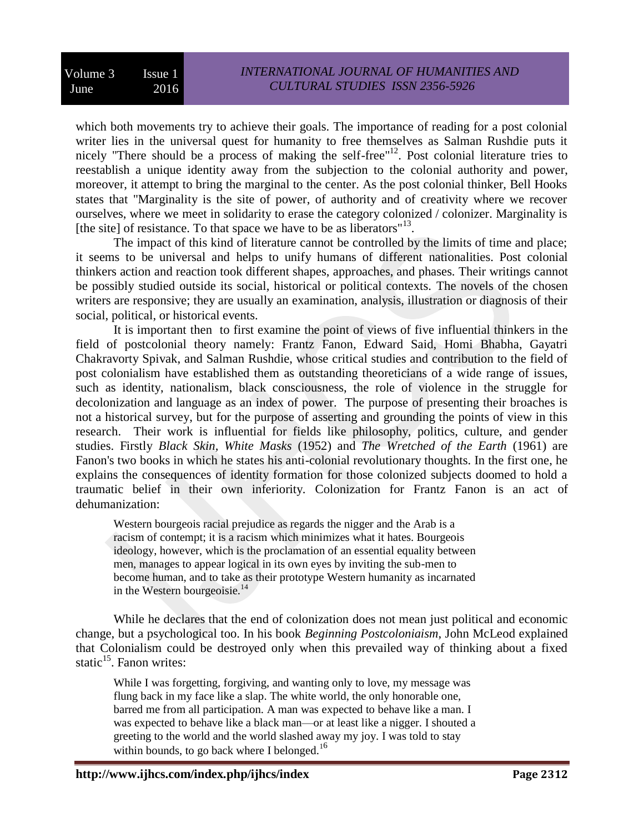which both movements try to achieve their goals. The importance of reading for a post colonial writer lies in the universal quest for humanity to free themselves as Salman Rushdie puts it nicely "There should be a process of making the self-free"<sup>12</sup>. Post colonial literature tries to reestablish a unique identity away from the subjection to the colonial authority and power, moreover, it attempt to bring the marginal to the center. As the post colonial thinker, Bell Hooks states that "Marginality is the site of power, of authority and of creativity where we recover ourselves, where we meet in solidarity to erase the category colonized / colonizer. Marginality is [the site] of resistance. To that space we have to be as liberators"<sup>13</sup>.

The impact of this kind of literature cannot be controlled by the limits of time and place; it seems to be universal and helps to unify humans of different nationalities. Post colonial thinkers action and reaction took different shapes, approaches, and phases. Their writings cannot be possibly studied outside its social, historical or political contexts. The novels of the chosen writers are responsive; they are usually an examination, analysis, illustration or diagnosis of their social, political, or historical events.

It is important then to first examine the point of views of five influential thinkers in the field of postcolonial theory namely: Frantz Fanon, Edward Said, Homi Bhabha, Gayatri Chakravorty Spivak, and Salman Rushdie, whose critical studies and contribution to the field of post colonialism have established them as outstanding theoreticians of a wide range of issues, such as identity, nationalism, black consciousness, the role of violence in the struggle for decolonization and language as an index of power. The purpose of presenting their broaches is not a historical survey, but for the purpose of asserting and grounding the points of view in this research. Their work is influential for fields like philosophy, politics, culture, and gender studies. Firstly *Black Skin, White Masks* (1952) and *The Wretched of the Earth* (1961) are Fanon's two books in which he states his anti-colonial revolutionary thoughts. In the first one, he explains the consequences of identity formation for those colonized subjects doomed to hold a traumatic belief in their own inferiority. Colonization for Frantz Fanon is an act of dehumanization:

Western bourgeois racial prejudice as regards the nigger and the Arab is a racism of contempt; it is a racism which minimizes what it hates. Bourgeois ideology, however, which is the proclamation of an essential equality between men, manages to appear logical in its own eyes by inviting the sub-men to become human, and to take as their prototype Western humanity as incarnated in the Western bourgeoisie. $^{14}$ 

While he declares that the end of colonization does not mean just political and economic change, but a psychological too. In his book *Beginning Postcoloniaism*, John McLeod explained that Colonialism could be destroyed only when this prevailed way of thinking about a fixed static<sup>15</sup>. Fanon writes:

While I was forgetting, forgiving, and wanting only to love, my message was flung back in my face like a slap. The white world, the only honorable one, barred me from all participation. A man was expected to behave like a man. I was expected to behave like a black man—or at least like a nigger. I shouted a greeting to the world and the world slashed away my joy. I was told to stay within bounds, to go back where I belonged.<sup>16</sup>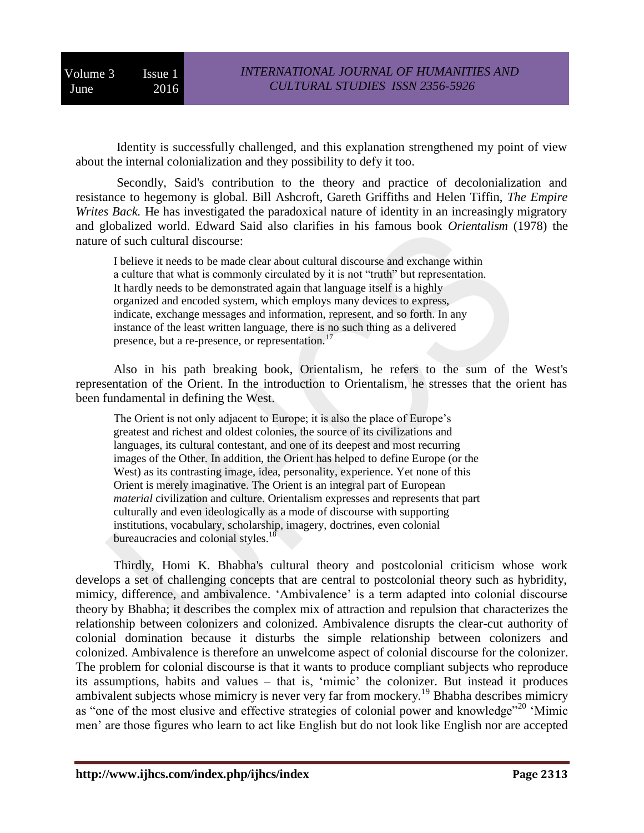Identity is successfully challenged, and this explanation strengthened my point of view about the internal colonialization and they possibility to defy it too.

Secondly, Said's contribution to the theory and practice of decolonialization and resistance to hegemony is global. Bill Ashcroft, Gareth Griffiths and Helen Tiffin, *The Empire Writes Back.* He has investigated the paradoxical nature of identity in an increasingly migratory and globalized world. Edward Said also clarifies in his famous book *Orientalism* (1978) the nature of such cultural discourse:

I believe it needs to be made clear about cultural discourse and exchange within a culture that what is commonly circulated by it is not "truth" but representation. It hardly needs to be demonstrated again that language itself is a highly organized and encoded system, which employs many devices to express, indicate, exchange messages and information, represent, and so forth. In any instance of the least written language, there is no such thing as a delivered presence, but a re-presence, or representation.<sup>17</sup>

Also in his path breaking book, Orientalism, he refers to the sum of the West's representation of the Orient. In the introduction to Orientalism, he stresses that the orient has been fundamental in defining the West.

The Orient is not only adjacent to Europe; it is also the place of Europe's greatest and richest and oldest colonies, the source of its civilizations and languages, its cultural contestant, and one of its deepest and most recurring images of the Other. In addition, the Orient has helped to define Europe (or the West) as its contrasting image, idea, personality, experience. Yet none of this Orient is merely imaginative. The Orient is an integral part of European *material* civilization and culture. Orientalism expresses and represents that part culturally and even ideologically as a mode of discourse with supporting institutions, vocabulary, scholarship, imagery, doctrines, even colonial bureaucracies and colonial styles.<sup>18</sup>

Thirdly, Homi K. Bhabha's cultural theory and postcolonial criticism whose work develops a set of challenging concepts that are central to postcolonial theory such as hybridity, mimicy, difference, and ambivalence. 'Ambivalence' is a term adapted into colonial discourse theory by Bhabha; it describes the complex mix of attraction and repulsion that characterizes the relationship between colonizers and colonized. Ambivalence disrupts the clear-cut authority of colonial domination because it disturbs the simple relationship between colonizers and colonized. Ambivalence is therefore an unwelcome aspect of colonial discourse for the colonizer. The problem for colonial discourse is that it wants to produce compliant subjects who reproduce its assumptions, habits and values – that is, 'mimic' the colonizer. But instead it produces ambivalent subjects whose mimicry is never very far from mockery.<sup>19</sup> Bhabha describes mimicry as "one of the most elusive and effective strategies of colonial power and knowledge"<sup>20</sup> 'Mimic men' are those figures who learn to act like English but do not look like English nor are accepted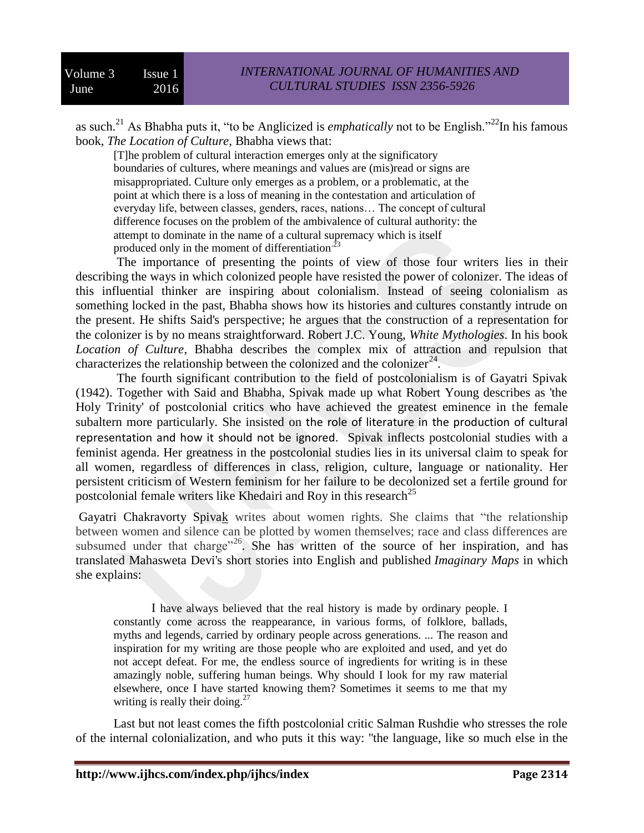as such.<sup>21</sup> As Bhabha puts it, "to be Anglicized is *emphatically* not to be English."<sup>22</sup>In his famous book, *The Location of Culture,* Bhabha views that:

[T]he problem of cultural interaction emerges only at the significatory boundaries of cultures, where meanings and values are (mis)read or signs are misappropriated. Culture only emerges as a problem, or a problematic, at the point at which there is a loss of meaning in the contestation and articulation of everyday life, between classes, genders, races, nations… The concept of cultural difference focuses on the problem of the ambivalence of cultural authority: the attempt to dominate in the name of a cultural supremacy which is itself produced only in the moment of differentiation.<sup>23</sup>

The importance of presenting the points of view of those four writers lies in their describing the ways in which colonized people have resisted the power of colonizer. The ideas of this influential thinker are inspiring about colonialism. Instead of seeing colonialism as something locked in the past, Bhabha shows how its histories and cultures constantly intrude on the present. He shifts Said's perspective; he argues that the construction of a representation for the colonizer is by no means straightforward. Robert J.C. Young, *White Mythologies*. In his book *Location of Culture*, Bhabha describes the complex mix of attraction and repulsion that characterizes the relationship between the colonized and the colonizer<sup>24</sup>.

The fourth significant contribution to the field of postcolonialism is of Gayatri Spivak (1942). Together with Said and Bhabha, Spivak made up what Robert Young describes as 'the Holy Trinity' of postcolonial critics who have achieved the greatest eminence in the female subaltern more particularly. She insisted on the role of literature in the production of cultural representation and how it should not be ignored. Spivak inflects postcolonial studies with a feminist agenda. Her greatness in the postcolonial studies lies in its universal claim to speak for all women, regardless of differences in class, religion, culture, language or nationality*.* Her persistent criticism of Western feminism for her failure to be decolonized set a fertile ground for postcolonial female writers like Khedairi and Roy in this research<sup>25</sup>

[Gayatri Chakravorty Spivak](https://en.wikipedia.org/wiki/Gayatri_Chakravorty_Spivak) writes about women rights. She claims that "the relationship between women and silence can be plotted by women themselves; race and class differences are subsumed under that charge<sup> $26$ </sup>. She has written of the source of her inspiration, and has translated Mahasweta Devi's short stories into English and published *Imaginary Maps* in which she explains:

I have always believed that the real history is made by ordinary people. I constantly come across the reappearance, in various forms, of folklore, ballads, myths and legends, carried by ordinary people across generations. ... The reason and inspiration for my writing are those people who are exploited and used, and yet do not accept defeat. For me, the endless source of ingredients for writing is in these amazingly noble, suffering human beings. Why should I look for my raw material elsewhere, once I have started knowing them? Sometimes it seems to me that my writing is really their doing.<sup>27</sup>

Last but not least comes the fifth postcolonial critic Salman Rushdie who stresses the role of the internal colonialization, and who puts it this way: "the language, like so much else in the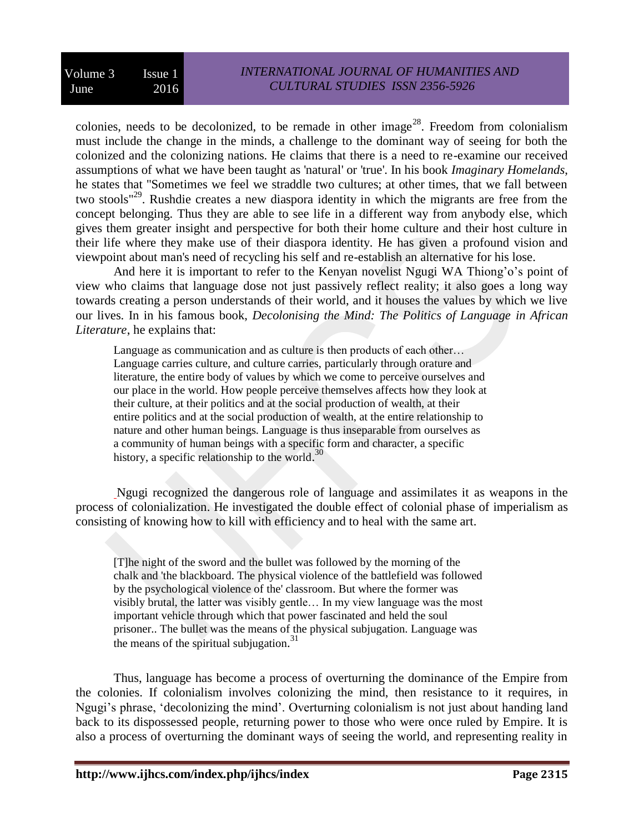colonies, needs to be decolonized, to be remade in other image<sup>28</sup>. Freedom from colonialism must include the change in the minds, a challenge to the dominant way of seeing for both the colonized and the colonizing nations. He claims that there is a need to re-examine our received assumptions of what we have been taught as 'natural' or 'true'. In his book *Imaginary Homelands*, he states that "Sometimes we feel we straddle two cultures; at other times, that we fall between two stools<sup>"29</sup>. Rushdie creates a new diaspora identity in which the migrants are free from the concept belonging. Thus they are able to see life in a different way from anybody else, which gives them greater insight and perspective for both their home culture and their host culture in their life where they make use of their diaspora identity. He has given a profound vision and viewpoint about man's need of recycling his self and re-establish an alternative for his lose.

And here it is important to refer to the Kenyan novelist Ngugi WA Thiong'o's point of view who claims that language dose not just passively reflect reality; it also goes a long way towards creating a person understands of their world, and it houses the values by which we live our lives. In in his famous book, *Decolonising the Mind: The Politics of Language in African Literature*, he explains that:

Language as communication and as culture is then products of each other… Language carries culture, and culture carries, particularly through orature and literature, the entire body of values by which we come to perceive ourselves and our place in the world. How people perceive themselves affects how they look at their culture, at their politics and at the social production of wealth, at their entire politics and at the social production of wealth, at the entire relationship to nature and other human beings. Language is thus inseparable from ourselves as a community of human beings with a specific form and character, a specific history, a specific relationship to the world.<sup>30</sup>

Ngugi recognized the dangerous role of language and assimilates it as weapons in the process of colonialization. He investigated the double effect of colonial phase of imperialism as consisting of knowing how to kill with efficiency and to heal with the same art.

[T]he night of the sword and the bullet was followed by the morning of the chalk and 'the blackboard. The physical violence of the battlefield was followed by the psychological violence of the' classroom. But where the former was visibly brutal, the latter was visibly gentle… In my view language was the most important vehicle through which that power fascinated and held the soul prisoner.. The bullet was the means of the physical subjugation. Language was the means of the spiritual subjugation.<sup>31</sup>

Thus, language has become a process of overturning the dominance of the Empire from the colonies. If colonialism involves colonizing the mind, then resistance to it requires, in Ngugi's phrase, 'decolonizing the mind'. Overturning colonialism is not just about handing land back to its dispossessed people, returning power to those who were once ruled by Empire. It is also a process of overturning the dominant ways of seeing the world, and representing reality in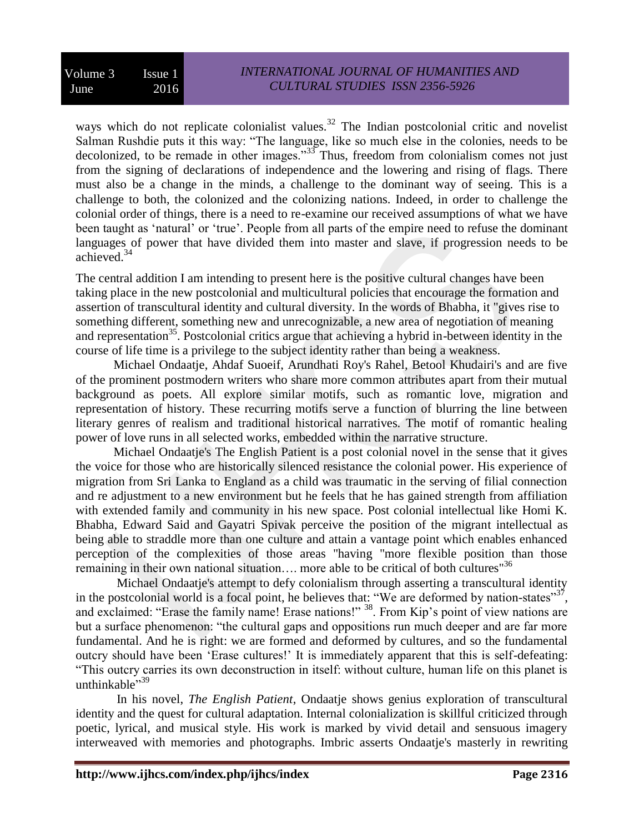ways which do not replicate colonialist values.<sup>32</sup> The Indian postcolonial critic and novelist Salman Rushdie puts it this way: "The language, like so much else in the colonies, needs to be decolonized, to be remade in other images." $33\frac{33}{100}$  Thus, freedom from colonialism comes not just from the signing of declarations of independence and the lowering and rising of flags. There must also be a change in the minds, a challenge to the dominant way of seeing. This is a challenge to both, the colonized and the colonizing nations. Indeed, in order to challenge the colonial order of things, there is a need to re-examine our received assumptions of what we have been taught as 'natural' or 'true'. People from all parts of the empire need to refuse the dominant languages of power that have divided them into master and slave, if progression needs to be achieved.<sup>34</sup>

The central addition I am intending to present here is the positive cultural changes have been taking place in the new postcolonial and multicultural policies that encourage the formation and assertion of transcultural identity and cultural diversity. In the words of Bhabha, it "gives rise to something different, something new and unrecognizable, a new area of negotiation of meaning and representation<sup>35</sup>. Postcolonial critics argue that achieving a hybrid in-between identity in the course of life time is a privilege to the subject identity rather than being a weakness.

Michael Ondaatje, Ahdaf Suoeif, Arundhati Roy's Rahel, Betool Khudairi's and are five of the prominent postmodern writers who share more common attributes apart from their mutual background as poets. All explore similar motifs, such as romantic love, migration and representation of history. These recurring motifs serve a function of blurring the line between literary genres of realism and traditional historical narratives. The motif of romantic healing power of love runs in all selected works, embedded within the narrative structure.

Michael Ondaatje's The English Patient is a post colonial novel in the sense that it gives the voice for those who are historically silenced resistance the colonial power. His experience of migration from Sri Lanka to England as a child was traumatic in the serving of filial connection and re adjustment to a new environment but he feels that he has gained strength from affiliation with extended family and community in his new space. Post colonial intellectual like Homi K. Bhabha, Edward Said and Gayatri Spivak perceive the position of the migrant intellectual as being able to straddle more than one culture and attain a vantage point which enables enhanced perception of the complexities of those areas "having "more flexible position than those remaining in their own national situation.... more able to be critical of both cultures<sup> $36$ </sup>

Michael Ondaatje's attempt to defy colonialism through asserting a transcultural identity in the postcolonial world is a focal point, he believes that: "We are deformed by nation-states"<sup>37</sup>, and exclaimed: "Erase the family name! Erase nations!" <sup>38</sup>. From Kip's point of view nations are but a surface phenomenon: "the cultural gaps and oppositions run much deeper and are far more fundamental. And he is right: we are formed and deformed by cultures, and so the fundamental outcry should have been 'Erase cultures!' It is immediately apparent that this is self-defeating: "This outcry carries its own deconstruction in itself: without culture, human life on this planet is unthinkable<sup>",39</sup>

In his novel, *The English Patient*, Ondaatje shows genius exploration of transcultural identity and the quest for cultural adaptation. Internal colonialization is skillful criticized through poetic, lyrical, and musical style. His work is marked by vivid detail and sensuous imagery interweaved with memories and photographs. Imbric asserts Ondaatje's masterly in rewriting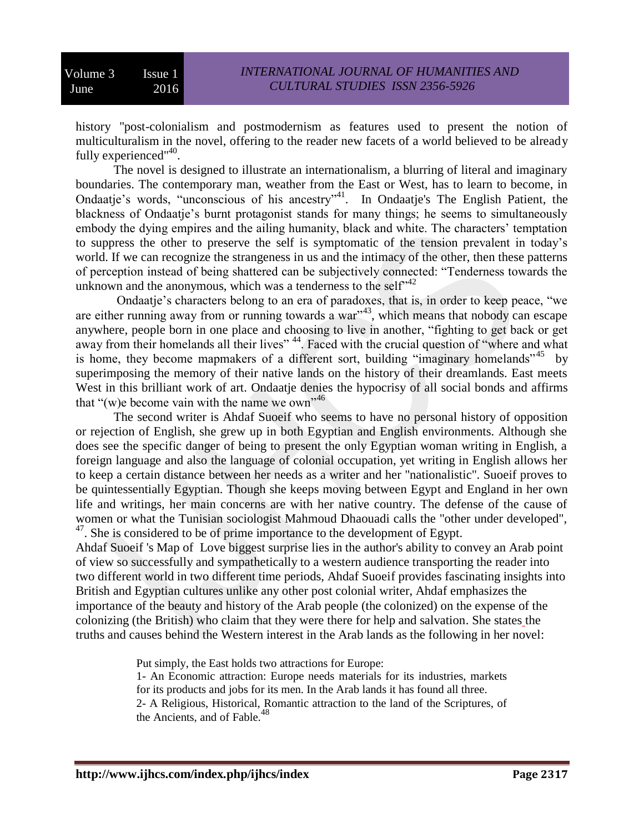history "post-colonialism and postmodernism as features used to present the notion of multiculturalism in the novel, offering to the reader new facets of a world believed to be already fully experienced"<sup>40</sup>.

The novel is designed to illustrate an internationalism, a blurring of literal and imaginary boundaries. The contemporary man, weather from the East or West, has to learn to become, in Ondaatje's words, "unconscious of his ancestry"<sup>41</sup>. In Ondaatje's The English Patient, the blackness of Ondaatje's burnt protagonist stands for many things; he seems to simultaneously embody the dying empires and the ailing humanity, black and white. The characters' temptation to suppress the other to preserve the self is symptomatic of the tension prevalent in today's world. If we can recognize the strangeness in us and the intimacy of the other, then these patterns of perception instead of being shattered can be subjectively connected: "Tenderness towards the unknown and the anonymous, which was a tenderness to the self $r^{42}$ 

Ondaatje's characters belong to an era of paradoxes, that is, in order to keep peace, "we are either running away from or running towards a war<sup>343</sup>, which means that nobody can escape anywhere, people born in one place and choosing to live in another, "fighting to get back or get away from their homelands all their lives" <sup>44</sup>. Faced with the crucial question of "where and what is home, they become mapmakers of a different sort, building "imaginary homelands" by superimposing the memory of their native lands on the history of their dreamlands. East meets West in this brilliant work of art. Ondaatje denies the hypocrisy of all social bonds and affirms that "(w)e become vain with the name we own"<sup>46</sup>

The second writer is Ahdaf Suoeif who seems to have no personal history of opposition or rejection of English, she grew up in both Egyptian and English environments. Although she does see the specific danger of being to present the only Egyptian woman writing in English, a foreign language and also the language of colonial occupation, yet writing in English allows her to keep a certain distance between her needs as a writer and her "nationalistic". Suoeif proves to be quintessentially Egyptian. Though she keeps moving between Egypt and England in her own life and writings, her main concerns are with her native country. The defense of the cause of women or what the Tunisian sociologist Mahmoud Dhaouadi calls the "other under developed", <sup>47</sup>. She is considered to be of prime importance to the development of Egypt.

Ahdaf Suoeif 's Map of Love biggest surprise lies in the author's ability to convey an Arab point of view so successfully and sympathetically to a western audience transporting the reader into two different world in two different time periods, Ahdaf Suoeif provides fascinating insights into British and Egyptian cultures unlike any other post colonial writer, Ahdaf emphasizes the importance of the beauty and history of the Arab people (the colonized) on the expense of the colonizing (the British) who claim that they were there for help and salvation. She states the truths and causes behind the Western interest in the Arab lands as the following in her novel:

Put simply, the East holds two attractions for Europe:

1- An Economic attraction: Europe needs materials for its industries, markets for its products and jobs for its men. In the Arab lands it has found all three. 2- A Religious, Historical, Romantic attraction to the land of the Scriptures, of the Ancients, and of Fable. $48$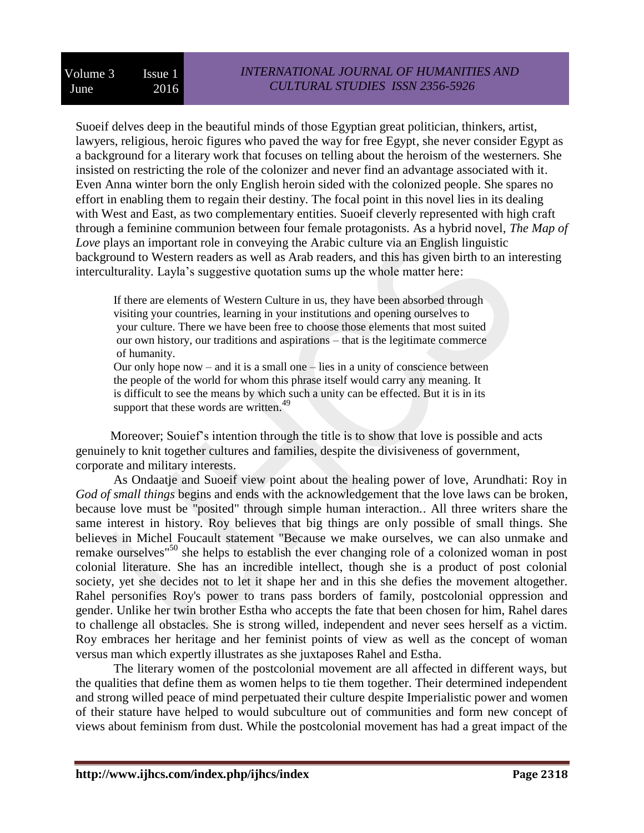Suoeif delves deep in the beautiful minds of those Egyptian great politician, thinkers, artist, lawyers, religious, heroic figures who paved the way for free Egypt, she never consider Egypt as a background for a literary work that focuses on telling about the heroism of the westerners. She insisted on restricting the role of the colonizer and never find an advantage associated with it. Even Anna winter born the only English heroin sided with the colonized people. She spares no effort in enabling them to regain their destiny. The focal point in this novel lies in its dealing with West and East, as two complementary entities. Suoeif cleverly represented with high craft through a feminine communion between four female protagonists. As a hybrid novel, *The Map of Love* plays an important role in conveying the Arabic culture via an English linguistic background to Western readers as well as Arab readers, and this has given birth to an interesting interculturality. Layla's suggestive quotation sums up the whole matter here:

If there are elements of Western Culture in us, they have been absorbed through visiting your countries, learning in your institutions and opening ourselves to your culture. There we have been free to choose those elements that most suited our own history, our traditions and aspirations – that is the legitimate commerce of humanity.

Our only hope now – and it is a small one – lies in a unity of conscience between the people of the world for whom this phrase itself would carry any meaning. It is difficult to see the means by which such a unity can be effected. But it is in its support that these words are written.<sup>49</sup>

 Moreover; Souief's intention through the title is to show that love is possible and acts genuinely to knit together cultures and families, despite the divisiveness of government, corporate and military interests.

As Ondaatje and Suoeif view point about the healing power of love, Arundhati: Roy in *God of small things* begins and ends with the acknowledgement that the love laws can be broken, because love must be "posited" through simple human interaction.. All three writers share the same interest in history. Roy believes that big things are only possible of small things. She believes in Michel Foucault statement "Because we make ourselves, we can also unmake and remake ourselves<sup>"50</sup> she helps to establish the ever changing role of a colonized woman in post colonial literature. She has an incredible intellect, though she is a product of post colonial society, yet she decides not to let it shape her and in this she defies the movement altogether. Rahel personifies Roy's power to trans pass borders of family, postcolonial oppression and gender. Unlike her twin brother Estha who accepts the fate that been chosen for him, Rahel dares to challenge all obstacles. She is strong willed, independent and never sees herself as a victim. Roy embraces her heritage and her feminist points of view as well as the concept of woman versus man which expertly illustrates as she juxtaposes Rahel and Estha.

The literary women of the postcolonial movement are all affected in different ways, but the qualities that define them as women helps to tie them together. Their determined independent and strong willed peace of mind perpetuated their culture despite Imperialistic power and women of their stature have helped to would subculture out of communities and form new concept of views about feminism from dust. While the postcolonial movement has had a great impact of the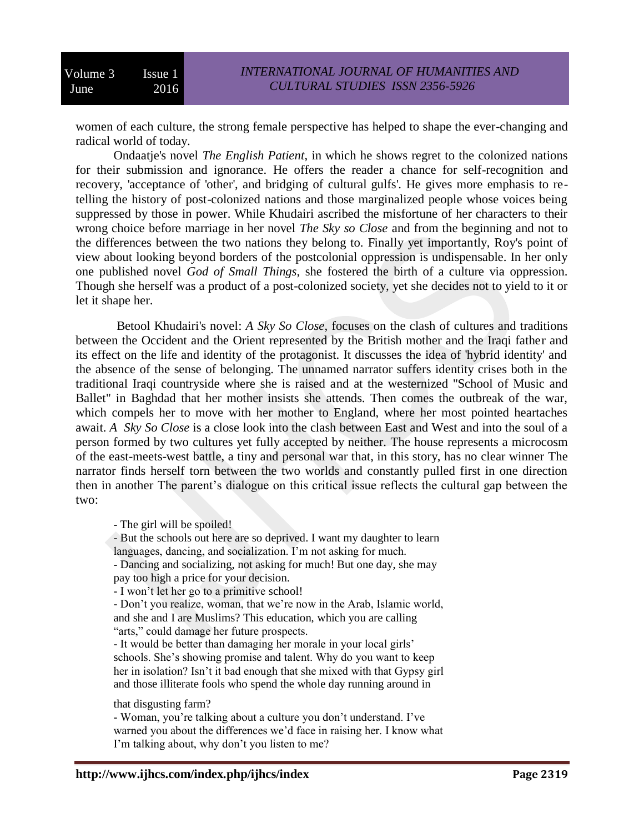women of each culture, the strong female perspective has helped to shape the ever-changing and radical world of today.

Ondaatje's novel *The English Patient*, in which he shows regret to the colonized nations for their submission and ignorance. He offers the reader a chance for self-recognition and recovery, 'acceptance of 'other', and bridging of cultural gulfs'. He gives more emphasis to retelling the history of post-colonized nations and those marginalized people whose voices being suppressed by those in power. While Khudairi ascribed the misfortune of her characters to their wrong choice before marriage in her novel *The Sky so Close* and from the beginning and not to the differences between the two nations they belong to. Finally yet importantly, Roy's point of view about looking beyond borders of the postcolonial oppression is undispensable. In her only one published novel *God of Small Things*, she fostered the birth of a culture via oppression. Though she herself was a product of a post-colonized society, yet she decides not to yield to it or let it shape her.

Betool Khudairi's novel: *A Sky So Close*, focuses on the clash of cultures and traditions between the Occident and the Orient represented by the British mother and the Iraqi father and its effect on the life and identity of the protagonist. It discusses the idea of 'hybrid identity' and the absence of the sense of belonging. The unnamed narrator suffers identity crises both in the traditional Iraqi countryside where she is raised and at the westernized "School of Music and Ballet" in Baghdad that her mother insists she attends. Then comes the outbreak of the war, which compels her to move with her mother to England, where her most pointed heartaches await. *A Sky So Close* is a close look into the clash between East and West and into the soul of a person formed by two cultures yet fully accepted by neither. The house represents a microcosm of the east-meets-west battle, a tiny and personal war that, in this story, has no clear winner The narrator finds herself torn between the two worlds and constantly pulled first in one direction then in another The parent's dialogue on this critical issue reflects the cultural gap between the two:

- The girl will be spoiled!

- But the schools out here are so deprived. I want my daughter to learn languages, dancing, and socialization. I'm not asking for much.

- Dancing and socializing, not asking for much! But one day, she may pay too high a price for your decision.

- I won't let her go to a primitive school!

- Don't you realize, woman, that we're now in the Arab, Islamic world, and she and I are Muslims? This education, which you are calling "arts," could damage her future prospects.

- It would be better than damaging her morale in your local girls' schools. She's showing promise and talent. Why do you want to keep her in isolation? Isn't it bad enough that she mixed with that Gypsy girl and those illiterate fools who spend the whole day running around in

that disgusting farm?

- Woman, you're talking about a culture you don't understand. I've warned you about the differences we'd face in raising her. I know what I'm talking about, why don't you listen to me?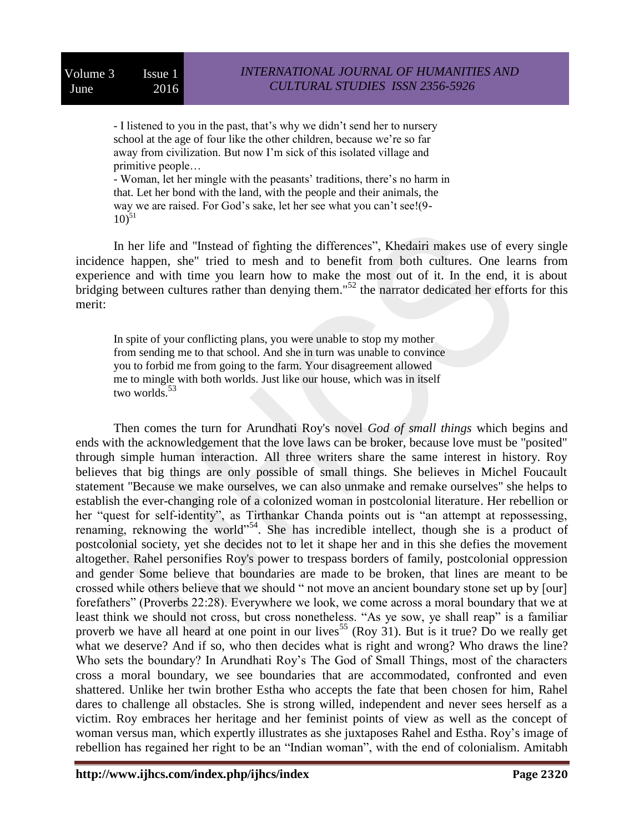- I listened to you in the past, that's why we didn't send her to nursery school at the age of four like the other children, because we're so far away from civilization. But now I'm sick of this isolated village and primitive people…

- Woman, let her mingle with the peasants' traditions, there's no harm in that. Let her bond with the land, with the people and their animals, the way we are raised. For God's sake, let her see what you can't see!(9-  $10^{51}$ 

In her life and "Instead of fighting the differences", Khedairi makes use of every single incidence happen, she" tried to mesh and to benefit from both cultures. One learns from experience and with time you learn how to make the most out of it. In the end, it is about bridging between cultures rather than denying them."<sup>52</sup> the narrator dedicated her efforts for this merit:

In spite of your conflicting plans, you were unable to stop my mother from sending me to that school. And she in turn was unable to convince you to forbid me from going to the farm. Your disagreement allowed me to mingle with both worlds. Just like our house, which was in itself two worlds.<sup>53</sup>

Then comes the turn for Arundhati Roy's novel *God of small things* which begins and ends with the acknowledgement that the love laws can be broker, because love must be "posited" through simple human interaction. All three writers share the same interest in history. Roy believes that big things are only possible of small things. She believes in Michel Foucault statement "Because we make ourselves, we can also unmake and remake ourselves" she helps to establish the ever-changing role of a colonized woman in postcolonial literature. Her rebellion or her "quest for self-identity", as Tirthankar Chanda points out is "an attempt at repossessing, renaming, reknowing the world"<sup>54</sup>. She has incredible intellect, though she is a product of postcolonial society, yet she decides not to let it shape her and in this she defies the movement altogether. Rahel personifies Roy's power to trespass borders of family, postcolonial oppression and gender Some believe that boundaries are made to be broken, that lines are meant to be crossed while others believe that we should " not move an ancient boundary stone set up by [our] forefathers" (Proverbs 22:28). Everywhere we look, we come across a moral boundary that we at least think we should not cross, but cross nonetheless. "As ye sow, ye shall reap" is a familiar proverb we have all heard at one point in our lives<sup>55</sup> (Roy 31). But is it true? Do we really get what we deserve? And if so, who then decides what is right and wrong? Who draws the line? Who sets the boundary? In Arundhati Roy's The God of Small Things, most of the characters cross a moral boundary, we see boundaries that are accommodated, confronted and even shattered. Unlike her twin brother Estha who accepts the fate that been chosen for him, Rahel dares to challenge all obstacles. She is strong willed, independent and never sees herself as a victim. Roy embraces her heritage and her feminist points of view as well as the concept of woman versus man, which expertly illustrates as she juxtaposes Rahel and Estha. Roy's image of rebellion has regained her right to be an "Indian woman", with the end of colonialism. Amitabh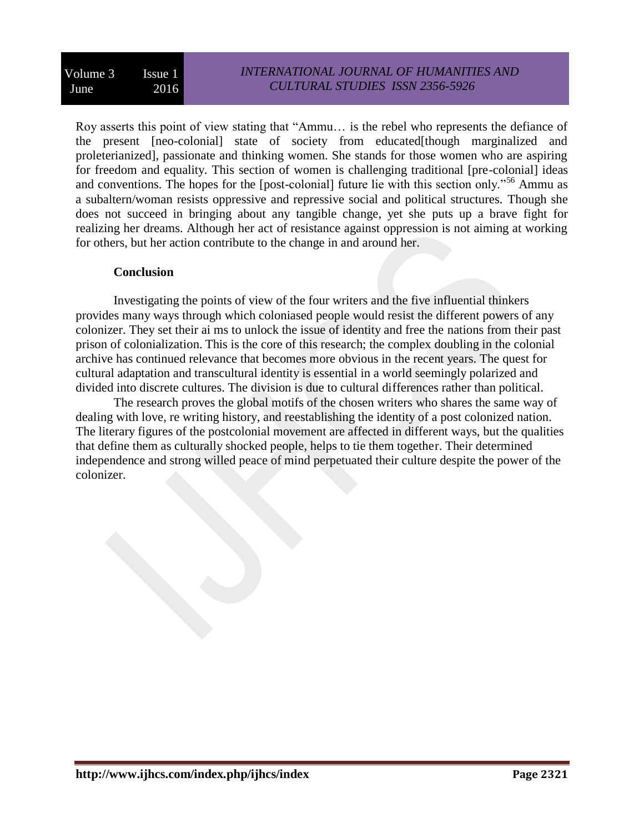Roy asserts this point of view stating that "Ammu… is the rebel who represents the defiance of the present [neo-colonial] state of society from educated[though marginalized and proleterianized], passionate and thinking women. She stands for those women who are aspiring for freedom and equality. This section of women is challenging traditional [pre-colonial] ideas and conventions. The hopes for the [post-colonial] future lie with this section only."<sup>56</sup> Ammu as a subaltern/woman resists oppressive and repressive social and political structures. Though she does not succeed in bringing about any tangible change, yet she puts up a brave fight for realizing her dreams. Although her act of resistance against oppression is not aiming at working for others, but her action contribute to the change in and around her.

### **Conclusion**

Investigating the points of view of the four writers and the five influential thinkers provides many ways through which coloniased people would resist the different powers of any colonizer. They set their ai ms to unlock the issue of identity and free the nations from their past prison of colonialization. This is the core of this research; the complex doubling in the colonial archive has continued relevance that becomes more obvious in the recent years. The quest for cultural adaptation and transcultural identity is essential in a world seemingly polarized and divided into discrete cultures. The division is due to cultural differences rather than political.

The research proves the global motifs of the chosen writers who shares the same way of dealing with love, re writing history, and reestablishing the identity of a post colonized nation. The literary figures of the postcolonial movement are affected in different ways, but the qualities that define them as culturally shocked people, helps to tie them together. Their determined independence and strong willed peace of mind perpetuated their culture despite the power of the colonizer.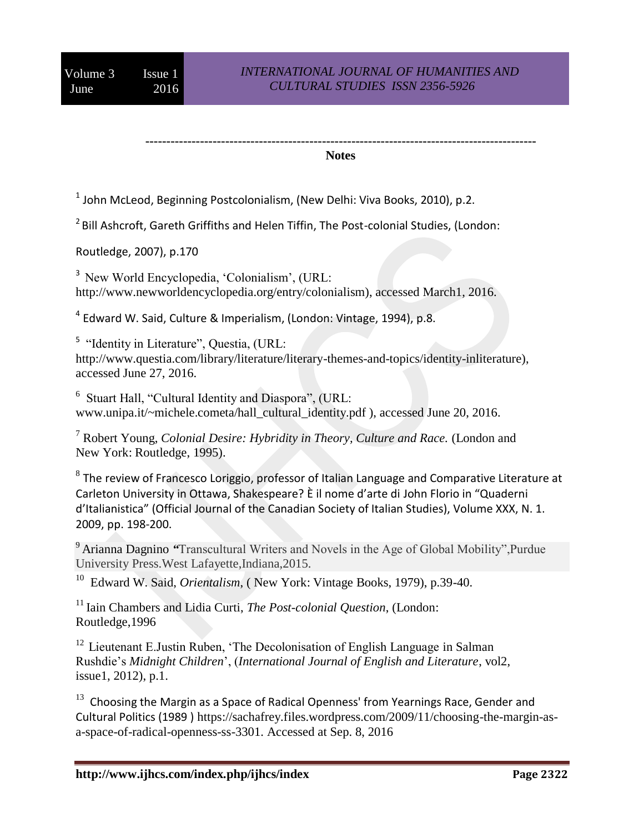#### **--------------------------------------------------------------------------------------------- Notes**

 $^1$  John McLeod, Beginning Postcolonialism, (New Delhi: Viva Books, 2010), p.2.

 $2$ Bill Ashcroft, Gareth Griffiths and Helen Tiffin, The Post-colonial Studies, (London:

Routledge, 2007), p.170

<sup>3</sup> New World Encyclopedia, 'Colonialism', (URL: http://www.newworldencyclopedia.org/entry/colonialism), accessed March1, 2016.

<sup>4</sup> Edward W. Said, Culture & Imperialism, (London: Vintage, 1994), p.8.

<sup>5</sup> "Identity in Literature", Questia, (URL: http://www.questia.com/library/literature/literary-themes-and-topics/identity-inliterature), accessed June 27, 2016.

6 Stuart Hall, "Cultural Identity and Diaspora", (URL: www.unipa.it/~michele.cometa/hall\_cultural\_identity.pdf ), accessed June 20, 2016.

<sup>7</sup> Robert Young, *Colonial Desire: Hybridity in Theory, Culture and Race.* (London and New York: Routledge, 1995).

 $^8$  The review of Francesco Loriggio, professor of Italian Language and Comparative Literature at Carleton University in Ottawa, Shakespeare? È il nome d'arte di John Florio in "Quaderni d'Italianistica" (Official Journal of the Canadian Society of Italian Studies), Volume XXX, N. 1. 2009, pp. 198-200.

<sup>9</sup>Arianna Dagnino *"*Transcultural Writers and Novels in the Age of Global Mobility",Purdue University Press.West Lafayette,Indiana,2015.

<sup>10</sup> Edward W. Said, *Orientalism*, (New York: Vintage Books, 1979), p.39-40.

<sup>11</sup> Iain Chambers and Lidia Curti, *The Post-colonial Ouestion*, (London: Routledge,1996

 $12$  Lieutenant E.Justin Ruben, 'The Decolonisation of English Language in Salman Rushdie's *Midnight Children*', (*International Journal of English and Literature*, vol2, issue1, 2012), p.1.

 $13$  Choosing the Margin as a Space of Radical Openness' from Yearnings Race, Gender and Cultural Politics (1989 ) https://sachafrey.files.wordpress.com/2009/11/choosing-the-margin-asa-space-of-radical-openness-ss-3301. Accessed at Sep. 8, 2016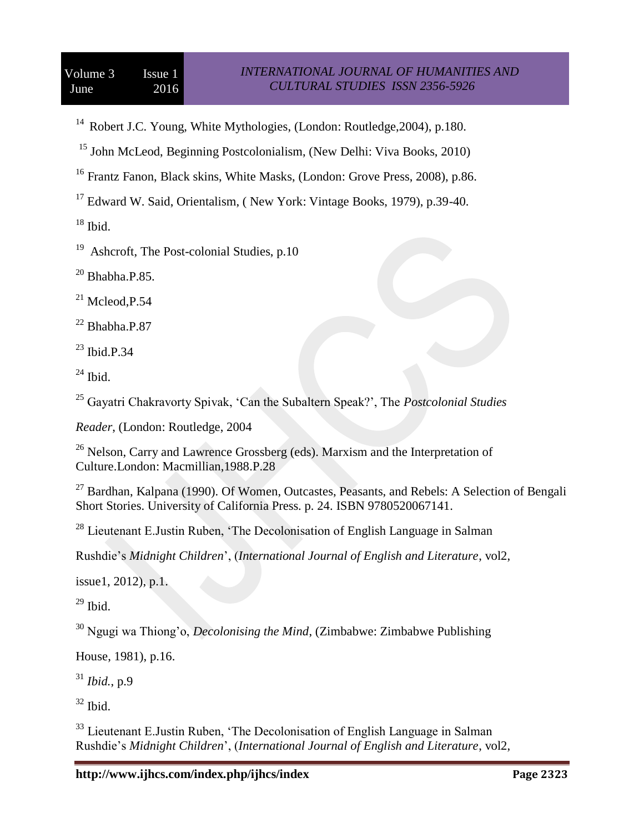<sup>14</sup> Robert J.C. Young, White Mythologies, (London: Routledge, 2004), p.180.

<sup>15</sup> John McLeod, Beginning Postcolonialism, (New Delhi: Viva Books, 2010)

<sup>16</sup> Frantz Fanon, Black skins, White Masks, (London: Grove Press, 2008), p.86.

<sup>17</sup> Edward W. Said, Orientalism, ( New York: Vintage Books, 1979), p.39-40.

 $^{18}$  Ibid.

<sup>19</sup> Ashcroft, The Post-colonial Studies, p.10

 $20$  Bhabha.P.85.

 $^{21}$  Mcleod, P.54

 $22$  Bhabha.P.87

 $^{23}$  Ibid.P.34

 $^{24}$  Ibid.

<sup>25</sup> Gayatri Chakravorty Spivak, 'Can the Subaltern Speak?', The *Postcolonial Studies*

*Reader*, (London: Routledge, 2004

 $26$  Nelson, Carry and Lawrence Grossberg (eds). Marxism and the Interpretation of Culture.London: Macmillian,1988.P.28

 $27$  Bardhan, Kalpana (1990). Of Women, Outcastes, Peasants, and Rebels: A Selection of Bengali Short Stories. University of California Press. p. 24. ISBN 9780520067141.

<sup>28</sup> Lieutenant E.Justin Ruben, 'The Decolonisation of English Language in Salman

Rushdie's *Midnight Children*', (*International Journal of English and Literature*, vol2,

issue1, 2012), p.1.

 $29$  Ibid.

<sup>30</sup> Ngugi wa Thiong'o, *Decolonising the Mind*, (Zimbabwe: Zimbabwe Publishing

House, 1981), p.16.

<sup>31</sup> *Ibid.*, p.9

 $32$  Ibid.

<sup>33</sup> Lieutenant E.Justin Ruben, 'The Decolonisation of English Language in Salman Rushdie's *Midnight Children*', (*International Journal of English and Literature*, vol2,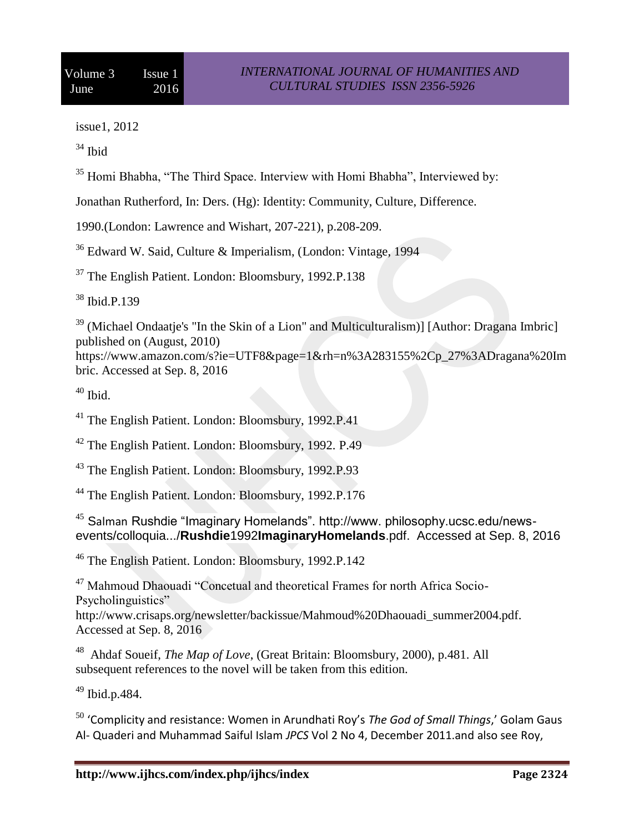issue1, 2012

<sup>34</sup> Ibid

<sup>35</sup> Homi Bhabha, "The Third Space. Interview with Homi Bhabha", Interviewed by:

Jonathan Rutherford, In: Ders. (Hg): Identity: Community, Culture, Difference.

1990.(London: Lawrence and Wishart, 207-221), p.208-209.

<sup>36</sup> Edward W. Said, Culture & Imperialism, (London: Vintage, 1994

<sup>37</sup> The English Patient. London: Bloomsbury, 1992.P.138

<sup>38</sup> Ibid.P.139

<sup>39</sup> (Michael Ondaatje's "In the Skin of a Lion" and Multiculturalism)] [Author: Dragana Imbric] published on (August, 2010)

https://www.amazon.com/s?ie=UTF8&page=1&rh=n%3A283155%2Cp\_27%3ADragana%20Im bric. Accessed at Sep. 8, 2016

 $40$  Ibid.

<sup>41</sup> The English Patient. London: Bloomsbury, 1992.P.41

<sup>42</sup> The English Patient. London: Bloomsbury, 1992. P.49

<sup>43</sup> The English Patient. London: Bloomsbury, 1992.P.93

<sup>44</sup> The English Patient. London: Bloomsbury, 1992.P.176

<sup>45</sup> Salman Rushdie "Imaginary Homelands". http://www. philosophy.ucsc.edu/newsevents/colloquia.../**Rushdie**1992**ImaginaryHomelands**.pdf. Accessed at Sep. 8, 2016

<sup>46</sup> The English Patient. London: Bloomsbury, 1992.P.142

<sup>47</sup> Mahmoud Dhaouadi "Concetual and theoretical Frames for north Africa Socio-Psycholinguistics"

http://www.crisaps.org/newsletter/backissue/Mahmoud%20Dhaouadi\_summer2004.pdf. Accessed at Sep. 8, 2016

48 Ahdaf Soueif, *The Map of Love*, (Great Britain: Bloomsbury, 2000), p.481. All subsequent references to the novel will be taken from this edition.

<sup>49</sup> Ibid.p.484.

<sup>50</sup> 'Complicity and resistance: Women in Arundhati Roy's *The God of Small Things*,' Golam Gaus Al- Quaderi and Muhammad Saiful Islam *JPCS* Vol 2 No 4, December 2011.and also see Roy,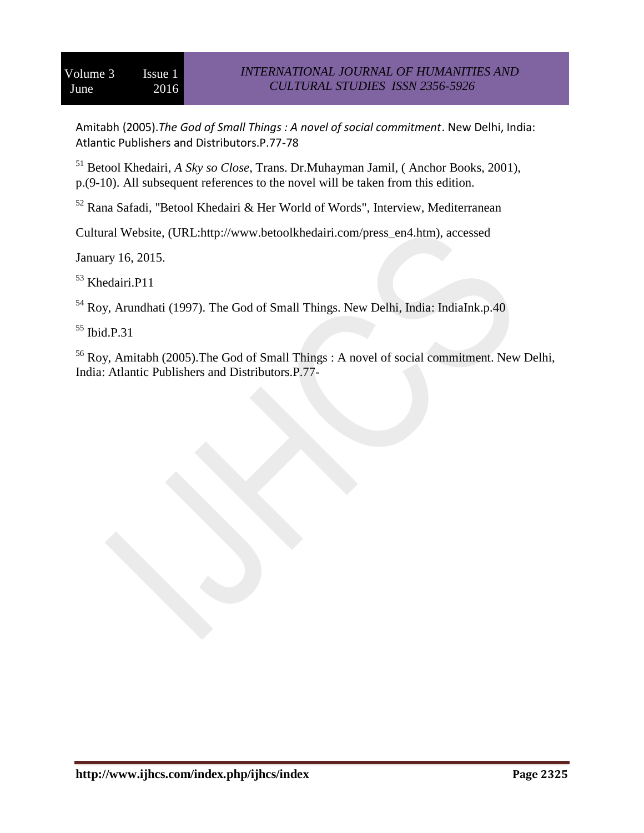Amitabh (2005).*The God of Small Things : A novel of social commitment*. New Delhi, India: Atlantic Publishers and Distributors.P.77-78

<sup>51</sup> Betool Khedairi, *A Sky so Close*, Trans. Dr.Muhayman Jamil, ( Anchor Books, 2001), p.(9-10). All subsequent references to the novel will be taken from this edition.

 $52$  Rana Safadi, "Betool Khedairi & Her World of Words", Interview, Mediterranean

Cultural Website, (URL:http://www.betoolkhedairi.com/press\_en4.htm), accessed

January 16, 2015.

<sup>53</sup> Khedairi.P11

<sup>54</sup> Roy, Arundhati (1997). The God of Small Things. New Delhi, India: IndiaInk.p.40

<sup>55</sup> Ibid.P.31

<sup>56</sup> Roy, Amitabh (2005).The God of Small Things : A novel of social commitment. New Delhi, India: Atlantic Publishers and Distributors.P.77-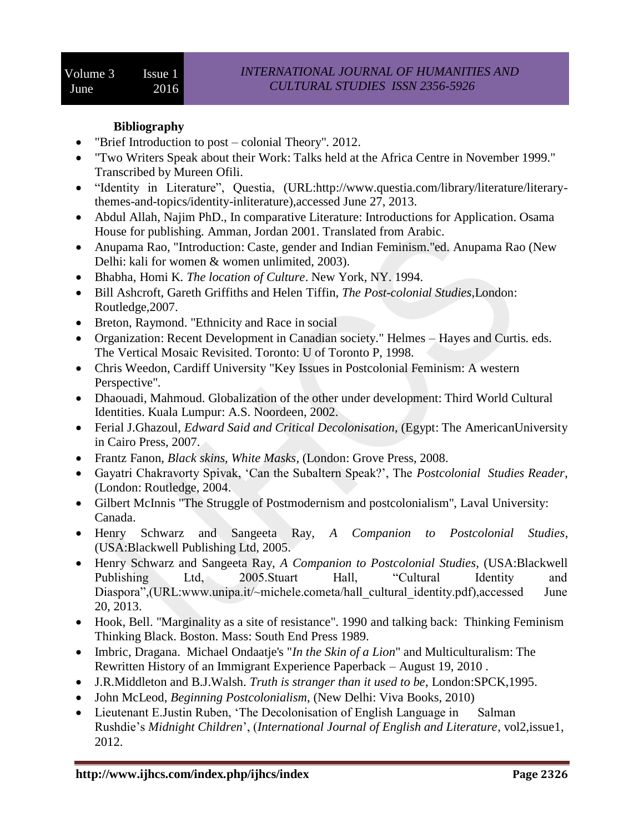## **Bibliography**

- "Brief Introduction to post colonial Theory". 2012.
- "Two Writers Speak about their Work: Talks held at the Africa Centre in November 1999." Transcribed by Mureen Ofili.
- "Identity in Literature", Questia, (URL:http://www.questia.com/library/literature/literarythemes-and-topics/identity-inliterature),accessed June 27, 2013.
- Abdul Allah, Najim PhD., In comparative Literature: Introductions for Application. Osama House for publishing. Amman, Jordan 2001. Translated from Arabic.
- Anupama Rao, "Introduction: Caste, gender and Indian Feminism."ed. Anupama Rao (New Delhi: kali for women & women unlimited, 2003).
- Bhabha, Homi K. *The location of Culture*. New York, NY. 1994.
- Bill Ashcroft, Gareth Griffiths and Helen Tiffin, *The Post-colonial Studies*,London: Routledge,2007.
- Breton, Raymond. "Ethnicity and Race in social
- Organization: Recent Development in Canadian society." Helmes Hayes and Curtis. eds. The Vertical Mosaic Revisited. Toronto: U of Toronto P, 1998.
- Chris Weedon, Cardiff University "Key Issues in Postcolonial Feminism: A western Perspective".
- Dhaouadi, Mahmoud. Globalization of the other under development: Third World Cultural Identities. Kuala Lumpur: A.S. Noordeen, 2002.
- Ferial J.Ghazoul, *Edward Said and Critical Decolonisation*, (Egypt: The AmericanUniversity in Cairo Press, 2007.
- Frantz Fanon, *Black skins, White Masks*, (London: Grove Press, 2008.
- Gayatri Chakravorty Spivak, 'Can the Subaltern Speak?', The *Postcolonial Studies Reader*, (London: Routledge, 2004.
- Gilbert McInnis "The Struggle of Postmodernism and postcolonialism", Laval University: Canada.
- Henry Schwarz and Sangeeta Ray, *A Companion to Postcolonial Studies*, (USA:Blackwell Publishing Ltd, 2005.
- Henry Schwarz and Sangeeta Ray, *A Companion to Postcolonial Studies*, (USA:Blackwell Publishing Ltd, 2005.Stuart Hall, "Cultural Identity and Diaspora",(URL:www.unipa.it/~michele.cometa/hall\_cultural\_identity.pdf),accessed June 20, 2013.
- Hook, Bell. "Marginality as a site of resistance". 1990 and talking back: Thinking Feminism Thinking Black. Boston. Mass: South End Press 1989.
- Imbric, [Dragana.](http://www.amazon.com/s/ref=ntt_athr_dp_sr_1?ie=UTF8&field-author=Dragana+Imbric&search-alias=books&text=Dragana+Imbric&sort=relevancerank) Michael Ondaatje's "*In the Skin of a Lion*" and Multiculturalism: The Rewritten History of an Immigrant Experience Paperback – August 19, 2010 .
- J.R.Middleton and B.J.Walsh. *Truth is stranger than it used to be*, London:SPCK,1995.
- John McLeod, *Beginning Postcolonialism*, (New Delhi: Viva Books, 2010)
- Lieutenant E.Justin Ruben, 'The Decolonisation of English Language in Salman Rushdie's *Midnight Children*', (*International Journal of English and Literature*, vol2,issue1, 2012.